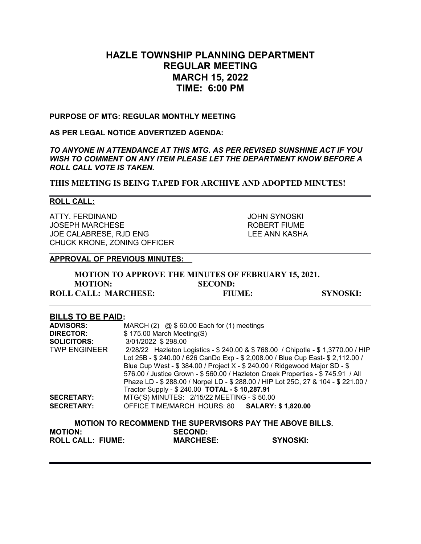# **HAZLE TOWNSHIP PLANNING DEPARTMENT REGULAR MEETING MARCH 15, 2022 TIME: 6:00 PM**

#### **PURPOSE OF MTG: REGULAR MONTHLY MEETING**

### **AS PER LEGAL NOTICE ADVERTIZED AGENDA:**

*TO ANYONE IN ATTENDANCE AT THIS MTG. AS PER REVISED SUNSHINE ACT IF YOU WISH TO COMMENT ON ANY ITEM PLEASE LET THE DEPARTMENT KNOW BEFORE A ROLL CALL VOTE IS TAKEN.*

**THIS MEETING IS BEING TAPED FOR ARCHIVE AND ADOPTED MINUTES!**

#### **ROLL CALL:**

ATTY. FERDINAND JOHN SYNOSKI JOSEPH MARCHESE **A CONSTRUCTE IN THE ROBERT FIUME** JOE CALABRESE, RJD ENG LEE ANN KASHA CHUCK KRONE, ZONING OFFICER

#### **APPROVAL OF PREVIOUS MINUTES:**

| <b>MOTION TO APPROVE THE MINUTES OF FEBRUARY 15, 2021.</b> |                |                 |
|------------------------------------------------------------|----------------|-----------------|
| <b>MOTION:</b>                                             | <b>SECOND:</b> |                 |
| <b>ROLL CALL: MARCHESE:</b>                                | <b>FIUME:</b>  | <b>SYNOSKI:</b> |

#### **BILLS TO BE PAID:**

| <b>ADVISORS:</b>    | MARCH (2) $@ $ 60.00$ Each for (1) meetings                                        |  |  |  |
|---------------------|------------------------------------------------------------------------------------|--|--|--|
| <b>DIRECTOR:</b>    | $$175.00$ March Meeting(S)                                                         |  |  |  |
| <b>SOLICITORS:</b>  | 3/01/2022 \$298.00                                                                 |  |  |  |
| <b>TWP ENGINEER</b> | 2/28/22 Hazleton Logistics - \$ 240.00 & \$ 768.00 / Chipotle - \$ 1,3770.00 / HIP |  |  |  |
|                     | Lot 25B - \$ 240.00 / 626 CanDo Exp - \$ 2,008.00 / Blue Cup East- \$ 2,112.00 /   |  |  |  |
|                     | Blue Cup West - \$ 384.00 / Project X - \$ 240.00 / Ridgewood Major SD - \$        |  |  |  |
|                     | 576.00 / Justice Grown - \$560.00 / Hazleton Creek Properties - \$745.91 / All     |  |  |  |
|                     | Phaze LD - \$288.00 / Norpel LD - \$288.00 / HIP Lot 25C, 27 & 104 - \$221.00 /    |  |  |  |
|                     | Tractor Supply - \$ 240.00 TOTAL - \$ 10,287.91                                    |  |  |  |
| <b>SECRETARY:</b>   | MTG('S) MINUTES: 2/15/22 MEETING - \$50.00                                         |  |  |  |
| <b>SECRETARY:</b>   | OFFICE TIME/MARCH HOURS: 80 SALARY: \$1,820.00                                     |  |  |  |
|                     |                                                                                    |  |  |  |
|                     |                                                                                    |  |  |  |

|                          | <b>MOTION TO RECOMMEND THE SUPERVISORS PAY THE ABOVE BILLS.</b> |                 |
|--------------------------|-----------------------------------------------------------------|-----------------|
| <b>MOTION:</b>           | <b>SECOND:</b>                                                  |                 |
| <b>ROLL CALL: FIUME:</b> | <b>MARCHESE:</b>                                                | <b>SYNOSKI:</b> |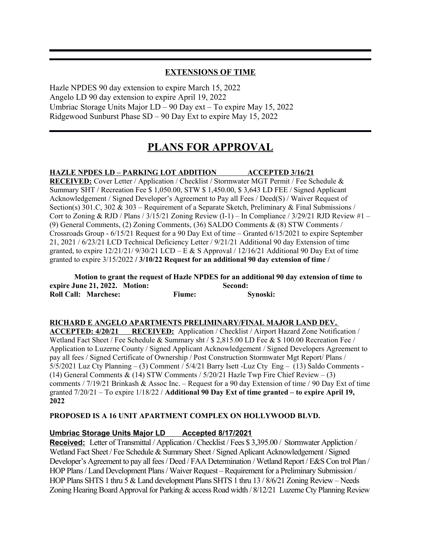### **EXTENSIONS OF TIME**

Hazle NPDES 90 day extension to expire March 15, 2022 Angelo LD 90 day extension to expire April 19, 2022 Umbriac Storage Units Major LD – 90 Day ext – To expire May 15, 2022 Ridgewood Sunburst Phase SD – 90 Day Ext to expire May 15, 2022

# **PLANS FOR APPROVAL**

#### **HAZLE NPDES LD – PARKING LOT ADDITION ACCEPTED 3/16/21**

**RECEIVED:** Cover Letter / Application / Checklist / Stormwater MGT Permit / Fee Schedule & Summary SHT / Recreation Fee \$ 1,050.00, STW \$ 1,450.00, \$ 3,643 LD FEE / Signed Applicant Acknowledgement / Signed Developer's Agreement to Pay all Fees / Deed(S) / Waiver Request of Section(s) 301.C, 302 & 303 – Requirement of a Separate Sketch, Preliminary & Final Submissions / Corr to Zoning & RJD / Plans /  $3/15/21$  Zoning Review (I-1) – In Compliance /  $3/29/21$  RJD Review #1 – (9) General Comments, (2) Zoning Comments, (36) SALDO Comments & (8) STW Comments / Crossroads Group - 6/15/21 Request for a 90 Day Ext of time – Granted 6/15/2021 to expire September 21, 2021 / 6/23/21 LCD Technical Deficiency Letter / 9/21/21 Additional 90 day Extension of time granted, to expire  $12/21/21/9/30/21$  LCD – E & S Approval /  $12/16/21$  Additional 90 Day Ext of time granted to expire 3/15/2022 **/ 3/10/22 Request for an additional 90 day extension of time /** 

|                               |               | Motion to grant the request of Hazle NPDES for an additional 90 day extension of time to |
|-------------------------------|---------------|------------------------------------------------------------------------------------------|
| expire June 21, 2022. Motion: |               | Second:                                                                                  |
| <b>Roll Call: Marchese:</b>   | <b>Fiume:</b> | Synoski:                                                                                 |

#### **RICHARD E ANGELO APARTMENTS PRELIMINARY/FINAL MAJOR LAND DEV.**

**ACCEPTED: 4/20/21 RECEIVED:** Application / Checklist / Airport Hazard Zone Notification / Wetland Fact Sheet / Fee Schedule & Summary sht / \$ 2,815.00 LD Fee & \$ 100.00 Recreation Fee / Application to Luzerne County / Signed Applicant Acknowledgement / Signed Developers Agreement to pay all fees / Signed Certificate of Ownership / Post Construction Stormwater Mgt Report/ Plans / 5/5/2021 Luz Cty Planning – (3) Comment / 5/4/21 Barry Isett -Luz Cty Eng – (13) Saldo Comments - (14) General Comments & (14) STW Comments  $/5/20/21$  Hazle Twp Fire Chief Review – (3) comments / 7/19/21 Brinkash & Assoc Inc. – Request for a 90 day Extension of time / 90 Day Ext of time granted 7/20/21 – To expire 1/18/22 / **Additional 90 Day Ext of time granted – to expire April 19, 2022**

#### **PROPOSED IS A 16 UNIT APARTMENT COMPLEX ON HOLLYWOOD BLVD.**

#### **Umbriac Storage Units Major LD Accepted 8/17/2021**

**Received:** Letter of Transmittal / Application / Checklist / Fees \$ 3,395.00 / Stormwater Appliction / Wetland Fact Sheet / Fee Schedule & Summary Sheet / Signed Aplicant Acknowledgement / Signed Developer's Agreement to pay all fees / Deed / FAA Determination / Wetland Report / E&S Con trol Plan / HOP Plans / Land Development Plans / Waiver Request – Requirement for a Preliminary Submission / HOP Plans SHTS 1 thru 5 & Land development Plans SHTS 1 thru 13 / 8/6/21 Zoning Review – Needs Zoning Hearing Board Approval for Parking & access Road width / 8/12/21 Luzerne Cty Planning Review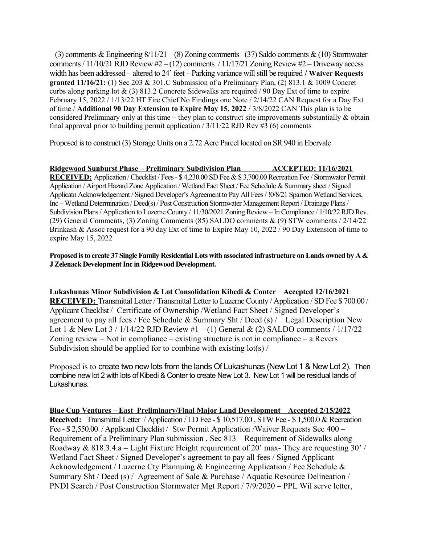$-(3)$  comments & Engineering  $8/11/21 - (8)$  Zoning comments  $-(37)$  Saldo comments & (10) Stormwater comments / 11/10/21 RJD Review  $#2 - (12)$  comments / 11/17/21 Zoning Review  $#2 -$ Driveway access width has been addressed – altered to 24' feet – Parking variance will still be required **/ Waiver Requests granted 11/16/21:** (1) Sec 203 & 301.C Submission of a Preliminary Plan, (2) 813.1 & 1009 Concret curbs along parking lot & (3) 813.2 Concrete Sidewalks are required  $/$  90 Day Ext of time to expire February 15, 2022 / 1/13/22 HT Fire Chief No Findings one Note / 2/14/22 CAN Request for a Day Ext of time / **Additional 90 Day Extension to Expire May 15, 2022** / 3/8/2022 CAN This plan is to be considered Preliminary only at this time – they plan to construct site improvements substantially & obtain final approval prior to building permit application  $/ 3/11/22$  RJD Rev #3 (6) comments

Proposed is to construct (3) Storage Units on a 2.72 Acre Parcel located on SR 940 in Ebervale

#### **Ridgewood Sunburst Phase – Preliminary Subdivision Plan ACCEPTED: 11/16/2021**

**RECEIVED:** Application / Checklist / Fees - \$ 4,230.00 SD Fee & \$ 3,700.00 Recreation Fee / Stormwater Permit Application / Airport Hazard Zone Application / Wetland Fact Sheet / Fee Schedule & Summary sheet / Signed Applicatn Acknowledgement / Signed Developer's Agreement to Pay All Fees / !0/8/21 Sparnon Wetland Services, Inc – Wetland Determination / Deed(s) / Post Construction Stormwater Management Report / Drainage Plans / Subdivision Plans / Application to Luzerne County / 11/30/2021 Zoning Review – In Compliance / 1/10/22 RJD Rev. (29) General Comments, (3) Zoning Comments (85) SALDO comments & (9) STW comments / 2/14/22 Brinkash & Assoc request for a 90 day Ext of time to Expire May 10, 2022 / 90 Day Extension of time to expire May 15, 2022

#### **Proposed is to create 37 Single Family Residential Lots with associated infrastructure on Lands owned by A & J Zelenack Development Inc in Ridgewood Development.**

**Lukashunas Minor Subdivision & Lot Consolidation Kibedi & Conter Accepted 12/16/2021 RECEIVED:** Transmittal Letter / Transmittal Letter to Luzerne County / Application / SD Fee \$ 700.00 / Applicant Checklist / Certificate of Ownership /Wetland Fact Sheet / Signed Developer's agreement to pay all fees / Fee Schedule & Summary Sht / Deed (s) / Legal Description New Lot 1 & New Lot  $3/1/14/22$  RJD Review  $\#1 - (1)$  General & (2) SALDO comments  $/1/17/22$ Zoning review – Not in compliance – existing structure is not in compliance – a Revers Subdivision should be applied for to combine with existing  $\frac{\log(x)}{x}$ 

Proposed is to create two new lots from the lands Of Lukashunas (New Lot 1 & New Lot 2). Then combine new lot 2 with lots of Kibedi & Conter to create New Lot 3. New Lot 1 will be residual lands of Lukashunas.

**Blue Cup Ventures – East Preliminary/Final Major Land Development Accepted 2/15/2022 Received:** Transmittal Letter / Application / LD Fee - \$ 10,517.00 , STW Fee - \$ 1,500.0 & Recreation Fee - \$2,550.00 / Applicant Checklist / Stw Permit Application / Waiver Requests Sec 400 – Requirement of a Preliminary Plan submission , Sec 813 – Requirement of Sidewalks along Roadway & 818.3.4.a – Light Fixture Height requirement of 20' max- They are requesting 30' / Wetland Fact Sheet / Signed Developer's agreement to pay all fees / Signed Applicant Acknowledgement / Luzerne Cty Plannuing & Engineering Application / Fee Schedule & Summary Sht / Deed (s) / Agreement of Sale & Purchase / Aquatic Resource Delineation / PNDI Search / Post Construction Stormwater Mgt Report / 7/9/2020 – PPL Wil serve letter,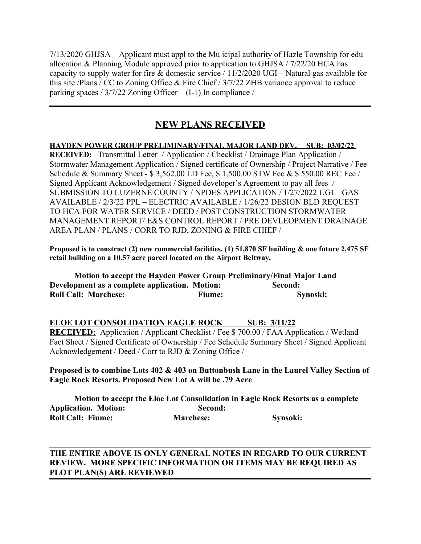7/13/2020 GHJSA – Applicant must appl to the Mu icipal authority of Hazle Township for edu allocation & Planning Module approved prior to application to GHJSA / 7/22/20 HCA has capacity to supply water for fire & domestic service / 11/2/2020 UGI – Natural gas available for this site /Plans / CC to Zoning Office & Fire Chief / 3/7/22 ZHB variance approval to reduce parking spaces /  $3/7/22$  Zoning Officer – (I-1) In compliance /

# **NEW PLANS RECEIVED**

**HAYDEN POWER GROUP PRELIMINARY/FINAL MAJOR LAND DEV. SUB: 03/02/22 RECEIVED:** Transmittal Letter / Application / Checklist / Drainage Plan Application / Stormwater Management Application / Signed certificate of Ownership / Project Narrative / Fee Schedule & Summary Sheet - \$ 3,562.00 LD Fee, \$ 1,500.00 STW Fee & \$ 550.00 REC Fee / Signed Applicant Acknowledgement / Signed developer's Agreement to pay all fees / SUBMISSION TO LUZERNE COUNTY / NPDES APPLICATION / 1/27/2022 UGI – GAS AVAILABLE / 2/3/22 PPL – ELECTRIC AVAILABLE / 1/26/22 DESIGN BLD REQUEST TO HCA FOR WATER SERVICE / DEED / POST CONSTRUCTION STORMWATER MANAGEMENT REPORT/ E&S CONTROL REPORT / PRE DEVLEOPMENT DRAINAGE AREA PLAN / PLANS / CORR TO RJD, ZONING & FIRE CHIEF /

**Proposed is to construct (2) new commercial facilities. (1) 51,870 SF building & one future 2,475 SF retail building on a 10.57 acre parcel located on the Airport Beltway.**

| Motion to accept the Hayden Power Group Preliminary/Final Major Land |               |          |
|----------------------------------------------------------------------|---------------|----------|
| Development as a complete application. Motion:                       |               | Second:  |
| <b>Roll Call: Marchese:</b>                                          | <b>Fiume:</b> | Synoski: |

 **ELOE LOT CONSOLIDATION EAGLE ROCK SUB: 3/11/22 RECEIVED:** Application / Applicant Checklist / Fee \$ 700.00 / FAA Application / Wetland Fact Sheet / Signed Certificate of Ownership / Fee Schedule Summary Sheet / Signed Applicant Acknowledgement / Deed / Corr to RJD & Zoning Office /

### **Proposed is to combine Lots 402 & 403 on Buttonbush Lane in the Laurel Valley Section of Eagle Rock Resorts. Proposed New Lot A will be .79 Acre**

**Motion to accept the Eloe Lot Consolidation in Eagle Rock Resorts as a complete Application. Motion: Second: Roll Call: Fiume: Marchese: Synsoki:** 

## **THE ENTIRE ABOVE IS ONLY GENERAL NOTES IN REGARD TO OUR CURRENT REVIEW. MORE SPECIFIC INFORMATION OR ITEMS MAY BE REQUIRED AS PLOT PLAN(S) ARE REVIEWED**